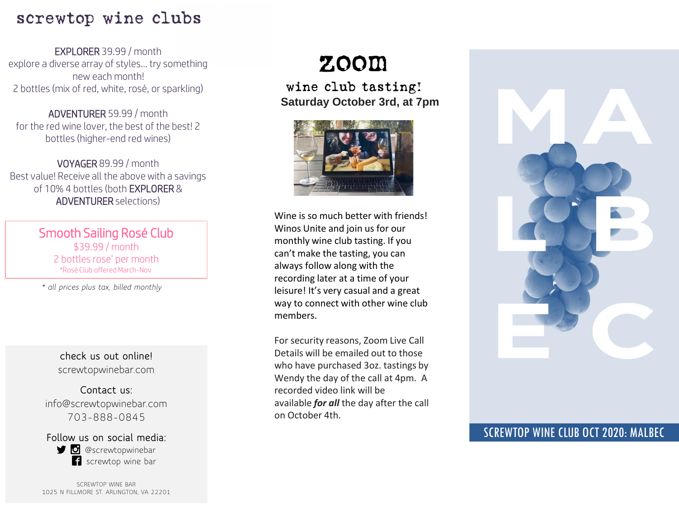### screwtop wine clubs

EXPLORER 39.99 / month explore a diverse array of styles… try something new each month! 2 bottles (mix of red, white, rosé, or sparkling)

ADVENTURER 59.99 / month for the red wine lover, the best of the best! 2 bottles (higher-end red wines)

VOYAGER 89.99 / month Best value! Receive all the above with a savings of 10% 4 bottles (both EXPLORER & ADVENTURER selections)

> Smooth Sailing Rosé Club \$39.99 / month 2 bottles rose' per month \*Rosé Club offered March-Nov

*\* all prices plus tax, billed monthly*

**check us out online!** screwtopwinebar.com

**Contact us:** info@screwtopwinebar.com 703-888-0845

**Follow us on social media: D** @screwtopwinebar screwtop wine bar

SCREWTOP WINE BAR 1025 N FILLMORE ST. ARLINGTON, VA 22201

## zoom

wine club tasting! **Saturday October 3rd, at 7pm**



Wine is so much better with friends! Winos Unite and join us for our monthly wine club tasting. If you can't make the tasting, you can always follow along with the recording later at a time of your leisure! It's very casual and a great way to connect with other wine club members.

For security reasons, Zoom Live Call Details will be emailed out to those who have purchased 3oz. tastings by Wendy the day of the call at 4pm. A recorded video link will be available *for all* the day after the call on October 4th.



### SCREWTOP WINE CLUB OCT 2020: MALBEC